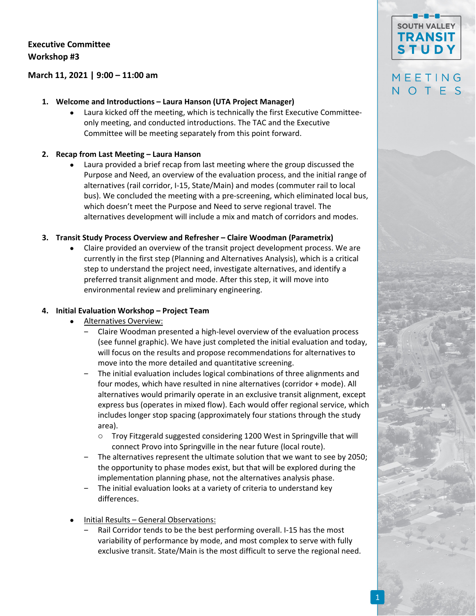### **Executive Committee Workshop #3**

### **March 11, 2021 | 9:00 – 11:00 am**

### **1. Welcome and Introductions – Laura Hanson (UTA Project Manager)**

 Laura kicked off the meeting, which is technically the first Executive Committee‐ only meeting, and conducted introductions. The TAC and the Executive Committee will be meeting separately from this point forward.

### **2. Recap from Last Meeting – Laura Hanson**

 Laura provided a brief recap from last meeting where the group discussed the Purpose and Need, an overview of the evaluation process, and the initial range of alternatives (rail corridor, I‐15, State/Main) and modes (commuter rail to local bus). We concluded the meeting with a pre‐screening, which eliminated local bus, which doesn't meet the Purpose and Need to serve regional travel. The alternatives development will include a mix and match of corridors and modes.

### **3. Transit Study Process Overview and Refresher – Claire Woodman (Parametrix)**

 Claire provided an overview of the transit project development process. We are currently in the first step (Planning and Alternatives Analysis), which is a critical step to understand the project need, investigate alternatives, and identify a preferred transit alignment and mode. After this step, it will move into environmental review and preliminary engineering.

### **4. Initial Evaluation Workshop – Project Team**

- Alternatives Overview:
	- ‒ Claire Woodman presented a high‐level overview of the evaluation process (see funnel graphic). We have just completed the initial evaluation and today, will focus on the results and propose recommendations for alternatives to move into the more detailed and quantitative screening.
	- ‒ The initial evaluation includes logical combinations of three alignments and four modes, which have resulted in nine alternatives (corridor + mode). All alternatives would primarily operate in an exclusive transit alignment, except express bus (operates in mixed flow). Each would offer regional service, which includes longer stop spacing (approximately four stations through the study area).
		- o Troy Fitzgerald suggested considering 1200 West in Springville that will connect Provo into Springville in the near future (local route).
	- ‒ The alternatives represent the ultimate solution that we want to see by 2050; the opportunity to phase modes exist, but that will be explored during the implementation planning phase, not the alternatives analysis phase.
	- The initial evaluation looks at a variety of criteria to understand key differences.
- Initial Results General Observations:
	- Rail Corridor tends to be the best performing overall. I-15 has the most variability of performance by mode, and most complex to serve with fully exclusive transit. State/Main is the most difficult to serve the regional need.

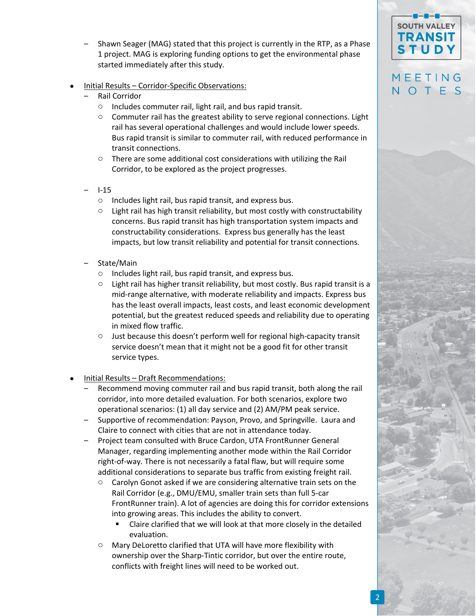- ‒ Shawn Seager (MAG) stated that this project is currently in the RTP, as a Phase 1 project. MAG is exploring funding options to get the environmental phase started immediately after this study.
- Initial Results Corridor‐Specific Observations:
	- ‒ Rail Corridor
		- o Includes commuter rail, light rail, and bus rapid transit.
		- $\circ$  Commuter rail has the greatest ability to serve regional connections. Light rail has several operational challenges and would include lower speeds. Bus rapid transit is similar to commuter rail, with reduced performance in transit connections.
		- $\circ$  There are some additional cost considerations with utilizing the Rail Corridor, to be explored as the project progresses.
	- ‒ I‐15
		- o Includes light rail, bus rapid transit, and express bus.
		- o Light rail has high transit reliability, but most costly with constructability concerns. Bus rapid transit has high transportation system impacts and constructability considerations. Express bus generally has the least impacts, but low transit reliability and potential for transit connections.
	- ‒ State/Main
		- o Includes light rail, bus rapid transit, and express bus.
		- $\circ$  Light rail has higher transit reliability, but most costly. Bus rapid transit is a mid-range alternative, with moderate reliability and impacts. Express bus has the least overall impacts, least costs, and least economic development potential, but the greatest reduced speeds and reliability due to operating in mixed flow traffic.
		- o Just because this doesn't perform well for regional high‐capacity transit service doesn't mean that it might not be a good fit for other transit service types.
- Initial Results Draft Recommendations:
	- ‒ Recommend moving commuter rail and bus rapid transit, both along the rail corridor, into more detailed evaluation. For both scenarios, explore two operational scenarios: (1) all day service and (2) AM/PM peak service.
	- ‒ Supportive of recommendation: Payson, Provo, and Springville. Laura and Claire to connect with cities that are not in attendance today.
	- ‒ Project team consulted with Bruce Cardon, UTA FrontRunner General Manager, regarding implementing another mode within the Rail Corridor right‐of‐way. There is not necessarily a fatal flaw, but will require some additional considerations to separate bus traffic from existing freight rail.
		- o Carolyn Gonot asked if we are considering alternative train sets on the Rail Corridor (e.g., DMU/EMU, smaller train sets than full 5‐car FrontRunner train). A lot of agencies are doing this for corridor extensions into growing areas. This includes the ability to convert.
			- Claire clarified that we will look at that more closely in the detailed evaluation.
		- o Mary DeLoretto clarified that UTA will have more flexibility with ownership over the Sharp‐Tintic corridor, but over the entire route, conflicts with freight lines will need to be worked out.

**SOUTH VALLEY TRANSIT STUDY**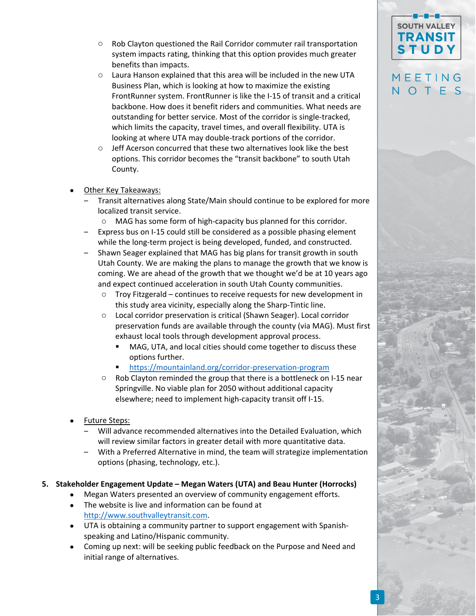- o Rob Clayton questioned the Rail Corridor commuter rail transportation system impacts rating, thinking that this option provides much greater benefits than impacts.
- o Laura Hanson explained that this area will be included in the new UTA Business Plan, which is looking at how to maximize the existing FrontRunner system. FrontRunner is like the I‐15 of transit and a critical backbone. How does it benefit riders and communities. What needs are outstanding for better service. Most of the corridor is single‐tracked, which limits the capacity, travel times, and overall flexibility. UTA is looking at where UTA may double‐track portions of the corridor.
- $\circ$  Jeff Acerson concurred that these two alternatives look like the best options. This corridor becomes the "transit backbone" to south Utah County.
- Other Key Takeaways:
	- Transit alternatives along State/Main should continue to be explored for more localized transit service.
		- o MAG has some form of high‐capacity bus planned for this corridor.
	- ‒ Express bus on I‐15 could still be considered as a possible phasing element while the long-term project is being developed, funded, and constructed.
	- Shawn Seager explained that MAG has big plans for transit growth in south Utah County. We are making the plans to manage the growth that we know is coming. We are ahead of the growth that we thought we'd be at 10 years ago and expect continued acceleration in south Utah County communities.
		- o Troy Fitzgerald continues to receive requests for new development in this study area vicinity, especially along the Sharp‐Tintic line.
		- o Local corridor preservation is critical (Shawn Seager). Local corridor preservation funds are available through the county (via MAG). Must first exhaust local tools through development approval process.
			- MAG, UTA, and local cities should come together to discuss these options further.
			- https://mountainland.org/corridor-preservation-program
		- o Rob Clayton reminded the group that there is a bottleneck on I‐15 near Springville. No viable plan for 2050 without additional capacity elsewhere; need to implement high‐capacity transit off I‐15.
- Future Steps:
	- ‒ Will advance recommended alternatives into the Detailed Evaluation, which will review similar factors in greater detail with more quantitative data.
	- ‒ With a Preferred Alternative in mind, the team will strategize implementation options (phasing, technology, etc.).

### **5. Stakeholder Engagement Update – Megan Waters (UTA) and Beau Hunter (Horrocks)**

- Megan Waters presented an overview of community engagement efforts.
- The website is live and information can be found at http://www.southvalleytransit.com.
- UTA is obtaining a community partner to support engagement with Spanishspeaking and Latino/Hispanic community.
- Coming up next: will be seeking public feedback on the Purpose and Need and initial range of alternatives.